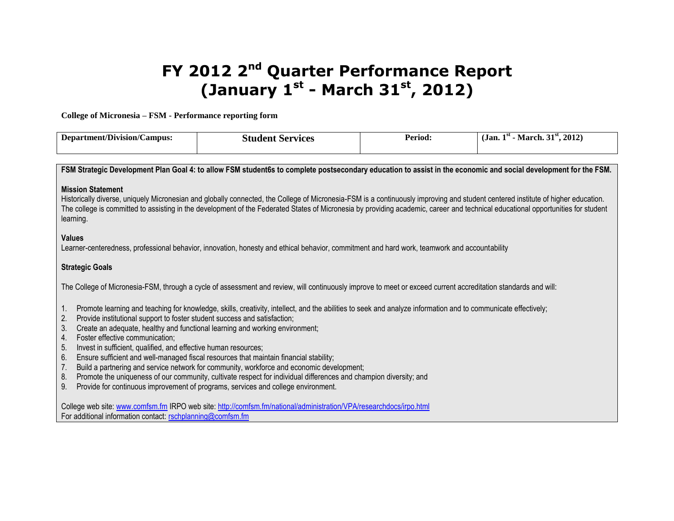# **FY 2012 2nd Quarter Performance Report (January 1st - March 31st, 2012)**

**College of Micronesia – FSM - Performance reporting form**

| Department/Division/C<br>/Campus: | Student<br>Services | Period. | 2012<br>21st<br>. .<br>- 1 SL<br>(Jan.<br>March. 5. |
|-----------------------------------|---------------------|---------|-----------------------------------------------------|
|                                   |                     |         |                                                     |

**FSM Strategic Development Plan Goal 4: to allow FSM student6s to complete postsecondary education to assist in the economic and social development for the FSM.**

#### **Mission Statement**

Historically diverse, uniquely Micronesian and globally connected, the College of Micronesia-FSM is a continuously improving and student centered institute of higher education. The college is committed to assisting in the development of the Federated States of Micronesia by providing academic, career and technical educational opportunities for student learning.

### **Values**

Learner-centeredness, professional behavior, innovation, honesty and ethical behavior, commitment and hard work, teamwork and accountability

## **Strategic Goals**

The College of Micronesia-FSM, through a cycle of assessment and review, will continuously improve to meet or exceed current accreditation standards and will:

1. Promote learning and teaching for knowledge, skills, creativity, intellect, and the abilities to seek and analyze information and to communicate effectively;

- 2. Provide institutional support to foster student success and satisfaction;
- 3. Create an adequate, healthy and functional learning and working environment;
- 4. Foster effective communication;
- 5. Invest in sufficient, qualified, and effective human resources;
- 6. Ensure sufficient and well-managed fiscal resources that maintain financial stability;
- 7. Build a partnering and service network for community, workforce and economic development;
- 8. Promote the uniqueness of our community, cultivate respect for individual differences and champion diversity; and
- 9. Provide for continuous improvement of programs, services and college environment.

College web site[: www.comfsm.fm](http://www.comfsm.fm/) IRPO web site:<http://comfsm.fm/national/administration/VPA/researchdocs/irpo.html> For additional information contact: [rschplanning@comfsm.fm](mailto:rschplanning@comfsm.fm)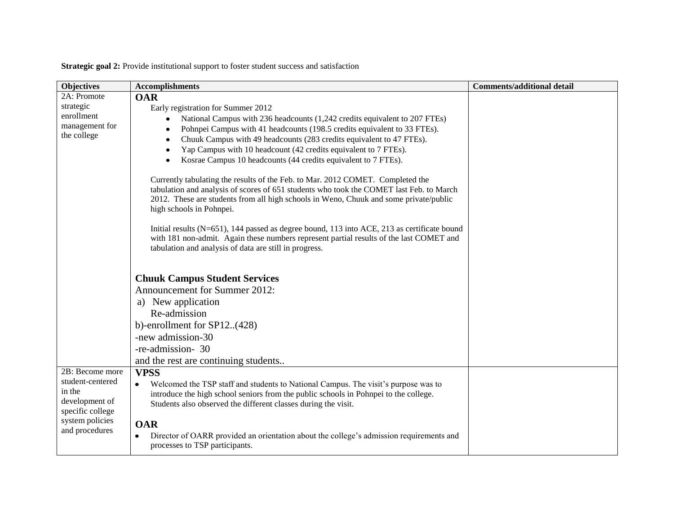**Strategic goal 2:** Provide institutional support to foster student success and satisfaction

| <b>Objectives</b>                  | <b>Accomplishments</b>                                                                          | <b>Comments/additional detail</b> |
|------------------------------------|-------------------------------------------------------------------------------------------------|-----------------------------------|
| 2A: Promote                        | <b>OAR</b>                                                                                      |                                   |
| strategic                          | Early registration for Summer 2012                                                              |                                   |
| enrollment                         | National Campus with 236 headcounts (1,242 credits equivalent to 207 FTEs)                      |                                   |
| management for                     | Pohnpei Campus with 41 headcounts (198.5 credits equivalent to 33 FTEs).                        |                                   |
| the college                        | Chuuk Campus with 49 headcounts (283 credits equivalent to 47 FTEs).                            |                                   |
|                                    | Yap Campus with 10 headcount (42 credits equivalent to 7 FTEs).                                 |                                   |
|                                    | Kosrae Campus 10 headcounts (44 credits equivalent to 7 FTEs).                                  |                                   |
|                                    | Currently tabulating the results of the Feb. to Mar. 2012 COMET. Completed the                  |                                   |
|                                    | tabulation and analysis of scores of 651 students who took the COMET last Feb. to March         |                                   |
|                                    | 2012. These are students from all high schools in Weno, Chuuk and some private/public           |                                   |
|                                    | high schools in Pohnpei.                                                                        |                                   |
|                                    | Initial results $(N=651)$ , 144 passed as degree bound, 113 into ACE, 213 as certificate bound  |                                   |
|                                    | with 181 non-admit. Again these numbers represent partial results of the last COMET and         |                                   |
|                                    | tabulation and analysis of data are still in progress.                                          |                                   |
|                                    |                                                                                                 |                                   |
|                                    | <b>Chuuk Campus Student Services</b>                                                            |                                   |
|                                    | Announcement for Summer 2012:                                                                   |                                   |
|                                    | a) New application                                                                              |                                   |
|                                    | Re-admission                                                                                    |                                   |
|                                    | b)-enrollment for $SP12(428)$                                                                   |                                   |
|                                    | -new admission-30                                                                               |                                   |
|                                    | -re-admission- 30                                                                               |                                   |
|                                    | and the rest are continuing students                                                            |                                   |
| 2B: Become more                    | <b>VPSS</b>                                                                                     |                                   |
| student-centered                   | Welcomed the TSP staff and students to National Campus. The visit's purpose was to<br>$\bullet$ |                                   |
| in the                             | introduce the high school seniors from the public schools in Pohnpei to the college.            |                                   |
| development of<br>specific college | Students also observed the different classes during the visit.                                  |                                   |
| system policies                    |                                                                                                 |                                   |
| and procedures                     | <b>OAR</b>                                                                                      |                                   |
|                                    | Director of OARR provided an orientation about the college's admission requirements and         |                                   |
|                                    | processes to TSP participants.                                                                  |                                   |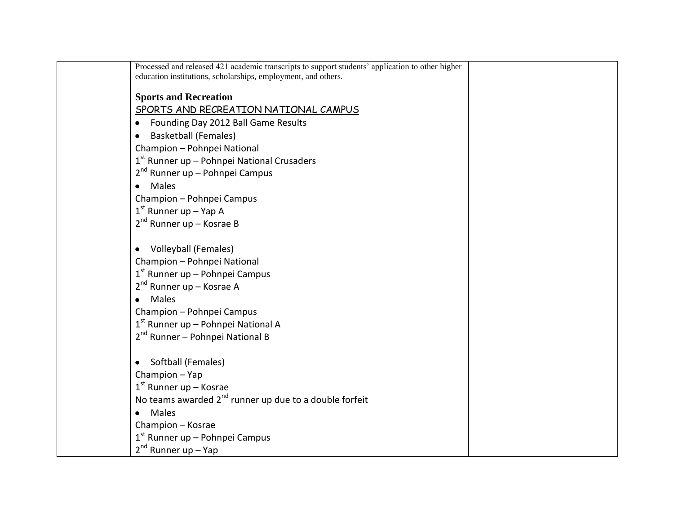| Processed and released 421 academic transcripts to support students' application to other higher<br>education institutions, scholarships, employment, and others. |  |
|-------------------------------------------------------------------------------------------------------------------------------------------------------------------|--|
|                                                                                                                                                                   |  |
| <b>Sports and Recreation</b>                                                                                                                                      |  |
| SPORTS AND RECREATION NATIONAL CAMPUS                                                                                                                             |  |
| Founding Day 2012 Ball Game Results<br>٠                                                                                                                          |  |
| <b>Basketball (Females)</b><br>$\bullet$                                                                                                                          |  |
| Champion - Pohnpei National                                                                                                                                       |  |
| 1st Runner up - Pohnpei National Crusaders                                                                                                                        |  |
| 2 <sup>nd</sup> Runner up – Pohnpei Campus                                                                                                                        |  |
| <b>Males</b>                                                                                                                                                      |  |
| Champion - Pohnpei Campus                                                                                                                                         |  |
| $1st$ Runner up – Yap A                                                                                                                                           |  |
| $2^{nd}$ Runner up – Kosrae B                                                                                                                                     |  |
|                                                                                                                                                                   |  |
| Volleyball (Females)                                                                                                                                              |  |
| Champion - Pohnpei National                                                                                                                                       |  |
| $1st$ Runner up – Pohnpei Campus                                                                                                                                  |  |
| $2^{nd}$ Runner up – Kosrae A                                                                                                                                     |  |
| <b>Males</b>                                                                                                                                                      |  |
| Champion - Pohnpei Campus                                                                                                                                         |  |
| $1st$ Runner up – Pohnpei National A                                                                                                                              |  |
| 2 <sup>nd</sup> Runner - Pohnpei National B                                                                                                                       |  |
|                                                                                                                                                                   |  |
| Softball (Females)<br>$\bullet$                                                                                                                                   |  |
| Champion - Yap                                                                                                                                                    |  |
| $1st$ Runner up – Kosrae                                                                                                                                          |  |
| No teams awarded 2 <sup>nd</sup> runner up due to a double forfeit                                                                                                |  |
| Males<br>$\bullet$                                                                                                                                                |  |
| Champion - Kosrae                                                                                                                                                 |  |
| $1st$ Runner up – Pohnpei Campus                                                                                                                                  |  |
| $2^{nd}$ Runner up – Yap                                                                                                                                          |  |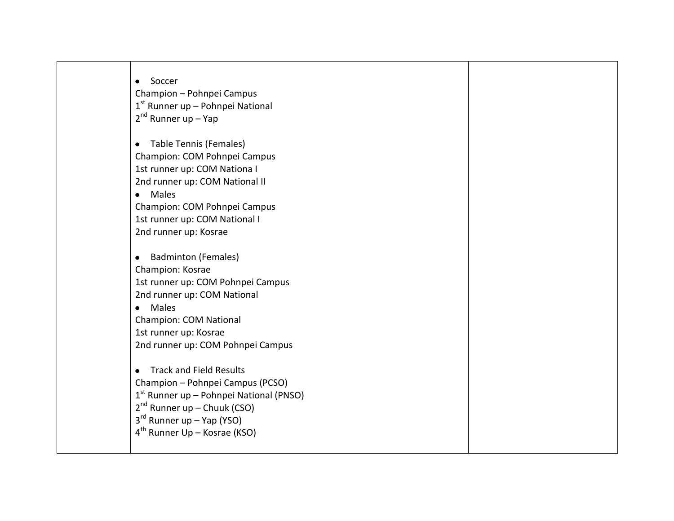| Soccer<br>$\bullet$                                                           |  |
|-------------------------------------------------------------------------------|--|
| Champion - Pohnpei Campus                                                     |  |
| $1st$ Runner up – Pohnpei National                                            |  |
| $2^{nd}$ Runner up – Yap                                                      |  |
|                                                                               |  |
| Table Tennis (Females)                                                        |  |
| Champion: COM Pohnpei Campus                                                  |  |
| 1st runner up: COM Nationa I                                                  |  |
| 2nd runner up: COM National II                                                |  |
| <b>Males</b><br>$\bullet$                                                     |  |
| Champion: COM Pohnpei Campus                                                  |  |
| 1st runner up: COM National I                                                 |  |
| 2nd runner up: Kosrae                                                         |  |
|                                                                               |  |
| <b>Badminton (Females)</b>                                                    |  |
| Champion: Kosrae                                                              |  |
| 1st runner up: COM Pohnpei Campus                                             |  |
| 2nd runner up: COM National                                                   |  |
| Males<br>$\bullet$                                                            |  |
| <b>Champion: COM National</b>                                                 |  |
| 1st runner up: Kosrae                                                         |  |
| 2nd runner up: COM Pohnpei Campus                                             |  |
| <b>Track and Field Results</b>                                                |  |
|                                                                               |  |
| Champion - Pohnpei Campus (PCSO)                                              |  |
| $1st$ Runner up – Pohnpei National (PNSO)<br>$2^{nd}$ Runner up – Chuuk (CSO) |  |
| $3rd$ Runner up – Yap (YSO)                                                   |  |
| $4th$ Runner Up – Kosrae (KSO)                                                |  |
|                                                                               |  |
|                                                                               |  |

×.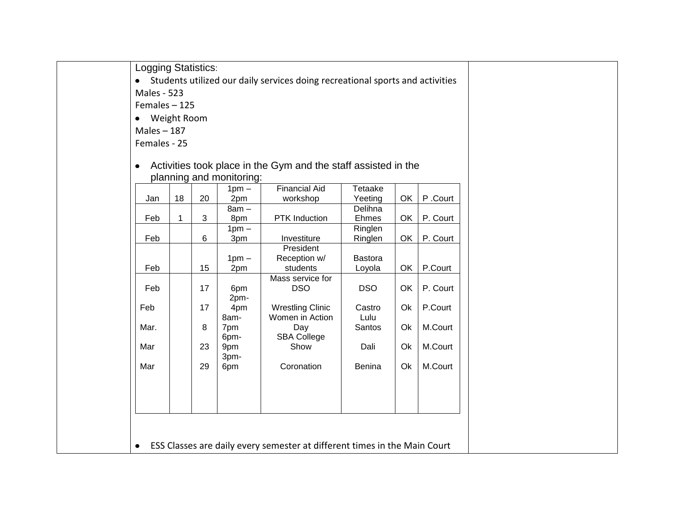Logging Statistics:

Students utilized our daily services doing recreational sports and activities

Males - 523

Females – 125

Weight Room

Males – 187

Females - 25

# Activities took place in the Gym and the staff assisted in the planning and monitoring:

| $1pm -$   |    |    |         | <b>Financial Aid</b>                                                      | Tetaake        |    |          |
|-----------|----|----|---------|---------------------------------------------------------------------------|----------------|----|----------|
| Jan       | 18 | 20 | 2pm     | workshop                                                                  | Yeeting        | OK | P.Court  |
|           |    |    | $8am -$ |                                                                           | Delihna        |    |          |
| Feb       | 1  | 3  | 8pm     | PTK Induction                                                             | Ehmes          | OK | P. Court |
|           |    |    | $1pm -$ |                                                                           | Ringlen        |    |          |
| Feb       |    | 6  | 3pm     | Investiture                                                               | Ringlen        | OK | P. Court |
|           |    |    |         | President                                                                 |                |    |          |
|           |    |    | $1pm -$ | Reception w/                                                              | <b>Bastora</b> |    |          |
| Feb       |    | 15 | 2pm     | students                                                                  | Loyola         | OK | P.Court  |
|           |    |    |         | Mass service for                                                          |                |    |          |
| Feb       |    | 17 | 6pm     | <b>DSO</b>                                                                | <b>DSO</b>     | OK | P. Court |
|           |    |    | 2pm-    |                                                                           |                |    |          |
| Feb       |    | 17 | 4pm     | <b>Wrestling Clinic</b>                                                   | Castro         | Ok | P.Court  |
|           |    |    | 8am-    | Women in Action                                                           | Lulu           |    |          |
| Mar.      |    | 8  | 7pm     | Day                                                                       | Santos         | Ok | M.Court  |
|           |    |    | 6pm-    | <b>SBA College</b>                                                        |                |    |          |
| Mar       |    | 23 | 9pm     | Show                                                                      | Dali           | Ok | M.Court  |
|           |    |    | 3pm-    |                                                                           |                |    |          |
| Mar       |    | 29 | 6pm     | Coronation                                                                | Benina         | Ok | M.Court  |
|           |    |    |         |                                                                           |                |    |          |
|           |    |    |         |                                                                           |                |    |          |
|           |    |    |         |                                                                           |                |    |          |
|           |    |    |         |                                                                           |                |    |          |
|           |    |    |         |                                                                           |                |    |          |
|           |    |    |         |                                                                           |                |    |          |
| $\bullet$ |    |    |         | ESS Classes are daily every semester at different times in the Main Court |                |    |          |
|           |    |    |         |                                                                           |                |    |          |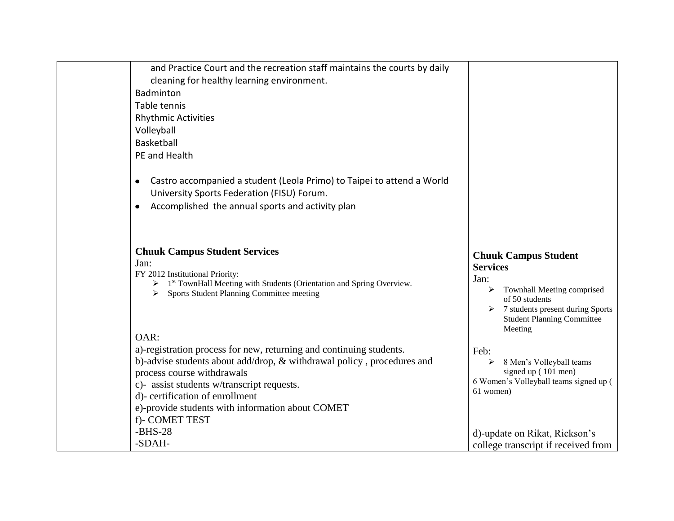| and Practice Court and the recreation staff maintains the courts by daily                                                                                                                                                         |                                                                                                                         |
|-----------------------------------------------------------------------------------------------------------------------------------------------------------------------------------------------------------------------------------|-------------------------------------------------------------------------------------------------------------------------|
| cleaning for healthy learning environment.                                                                                                                                                                                        |                                                                                                                         |
| Badminton                                                                                                                                                                                                                         |                                                                                                                         |
| Table tennis                                                                                                                                                                                                                      |                                                                                                                         |
| <b>Rhythmic Activities</b>                                                                                                                                                                                                        |                                                                                                                         |
| Volleyball                                                                                                                                                                                                                        |                                                                                                                         |
| Basketball                                                                                                                                                                                                                        |                                                                                                                         |
| PE and Health                                                                                                                                                                                                                     |                                                                                                                         |
| Castro accompanied a student (Leola Primo) to Taipei to attend a World<br>$\bullet$<br>University Sports Federation (FISU) Forum.                                                                                                 |                                                                                                                         |
| Accomplished the annual sports and activity plan<br>$\bullet$                                                                                                                                                                     |                                                                                                                         |
| <b>Chuuk Campus Student Services</b><br>Jan:<br>FY 2012 Institutional Priority:<br>$\triangleright$ 1 <sup>st</sup> TownHall Meeting with Students (Orientation and Spring Overview.<br>Sports Student Planning Committee meeting | <b>Chuuk Campus Student</b><br><b>Services</b><br>Jan:<br>$\triangleright$ Townhall Meeting comprised<br>of 50 students |
| OAR:                                                                                                                                                                                                                              | $\triangleright$ 7 students present during Sports<br><b>Student Planning Committee</b><br>Meeting                       |
| a)-registration process for new, returning and continuing students.                                                                                                                                                               | Feb:                                                                                                                    |
| b)-advise students about add/drop, & withdrawal policy, procedures and                                                                                                                                                            | 8 Men's Volleyball teams                                                                                                |
| process course withdrawals                                                                                                                                                                                                        | signed up (101 men)<br>6 Women's Volleyball teams signed up (                                                           |
| c)- assist students w/transcript requests.                                                                                                                                                                                        | 61 women)                                                                                                               |
| d)- certification of enrollment                                                                                                                                                                                                   |                                                                                                                         |
| e)-provide students with information about COMET<br>f)- COMET TEST                                                                                                                                                                |                                                                                                                         |
| $-BHS-28$                                                                                                                                                                                                                         |                                                                                                                         |
| -SDAH-                                                                                                                                                                                                                            | d)-update on Rikat, Rickson's                                                                                           |
|                                                                                                                                                                                                                                   | college transcript if received from                                                                                     |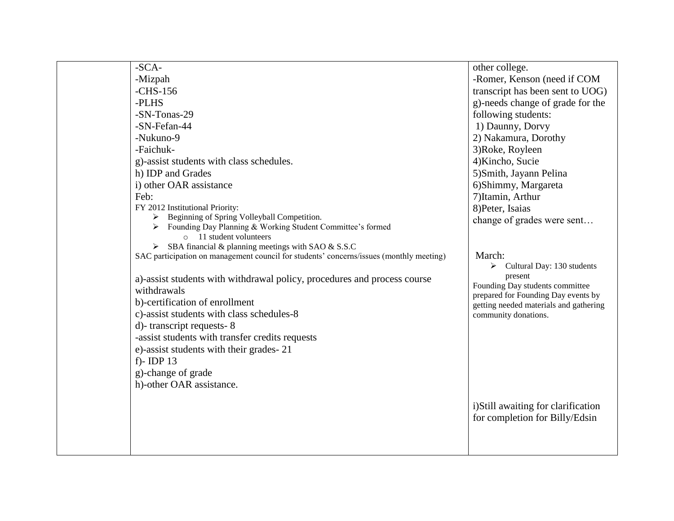| $-SCA-$                                                                                          | other college.                                                                |
|--------------------------------------------------------------------------------------------------|-------------------------------------------------------------------------------|
| -Mizpah                                                                                          | -Romer, Kenson (need if COM                                                   |
| $-CHS-156$                                                                                       | transcript has been sent to UOG)                                              |
| -PLHS                                                                                            | g)-needs change of grade for the                                              |
| -SN-Tonas-29                                                                                     | following students:                                                           |
| -SN-Fefan-44                                                                                     | 1) Daunny, Dorvy                                                              |
| -Nukuno-9                                                                                        | 2) Nakamura, Dorothy                                                          |
| -Faichuk-                                                                                        | 3) Roke, Royleen                                                              |
| g)-assist students with class schedules.                                                         | 4) Kincho, Sucie                                                              |
| h) IDP and Grades                                                                                | 5) Smith, Jayann Pelina                                                       |
| i) other OAR assistance                                                                          | 6) Shimmy, Margareta                                                          |
| Feb:                                                                                             | 7) Itamin, Arthur                                                             |
| FY 2012 Institutional Priority:                                                                  | 8) Peter, Isaias                                                              |
| Beginning of Spring Volleyball Competition.                                                      | change of grades were sent                                                    |
| Founding Day Planning & Working Student Committee's formed<br>➤<br>$\circ$ 11 student volunteers |                                                                               |
| $\triangleright$ SBA financial & planning meetings with SAO & S.S.C                              |                                                                               |
| SAC participation on management council for students' concerns/issues (monthly meeting)          | March:                                                                        |
|                                                                                                  | Cultural Day: 130 students<br>➤                                               |
| a)-assist students with withdrawal policy, procedures and process course                         | present                                                                       |
| withdrawals                                                                                      | Founding Day students committee                                               |
| b)-certification of enrollment                                                                   | prepared for Founding Day events by<br>getting needed materials and gathering |
| c)-assist students with class schedules-8                                                        | community donations.                                                          |
| d)-transcript requests-8                                                                         |                                                                               |
| -assist students with transfer credits requests                                                  |                                                                               |
| e)-assist students with their grades-21                                                          |                                                                               |
| f)-IDP $13$                                                                                      |                                                                               |
| g)-change of grade                                                                               |                                                                               |
| h)-other OAR assistance.                                                                         |                                                                               |
|                                                                                                  |                                                                               |
|                                                                                                  | i) Still awaiting for clarification                                           |
|                                                                                                  | for completion for Billy/Edsin                                                |
|                                                                                                  |                                                                               |
|                                                                                                  |                                                                               |
|                                                                                                  |                                                                               |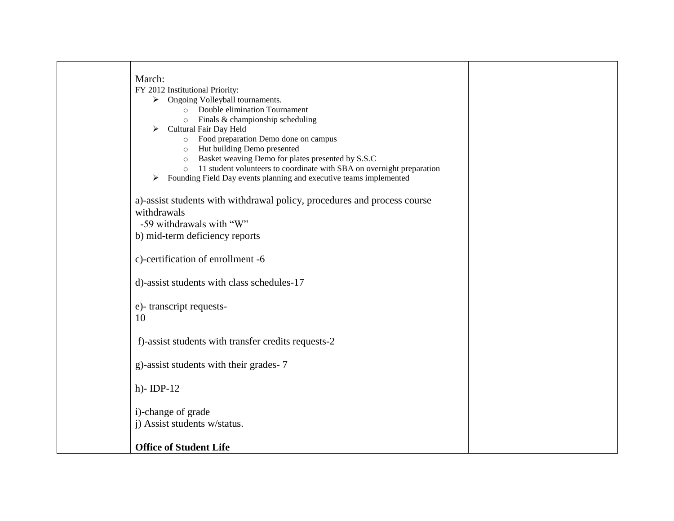| March:                                                                                      |  |
|---------------------------------------------------------------------------------------------|--|
| FY 2012 Institutional Priority:                                                             |  |
| $\triangleright$ Ongoing Volleyball tournaments.                                            |  |
| o Double elimination Tournament                                                             |  |
| Finals & championship scheduling<br>$\circ$                                                 |  |
| Cultural Fair Day Held<br>$\blacktriangleright$                                             |  |
| o Food preparation Demo done on campus<br>Hut building Demo presented                       |  |
| $\circ$<br>Basket weaving Demo for plates presented by S.S.C                                |  |
| $\circ$<br>11 student volunteers to coordinate with SBA on overnight preparation<br>$\circ$ |  |
| Founding Field Day events planning and executive teams implemented<br>$\blacktriangleright$ |  |
|                                                                                             |  |
| a)-assist students with withdrawal policy, procedures and process course                    |  |
| withdrawals                                                                                 |  |
| -59 withdrawals with "W"                                                                    |  |
| b) mid-term deficiency reports                                                              |  |
|                                                                                             |  |
| c)-certification of enrollment -6                                                           |  |
| d)-assist students with class schedules-17                                                  |  |
| e)-transcript requests-                                                                     |  |
| 10                                                                                          |  |
| f)-assist students with transfer credits requests-2                                         |  |
| g)-assist students with their grades-7                                                      |  |
| $h$ )-IDP-12                                                                                |  |
| i)-change of grade                                                                          |  |
| j) Assist students w/status.                                                                |  |
|                                                                                             |  |
| <b>Office of Student Life</b>                                                               |  |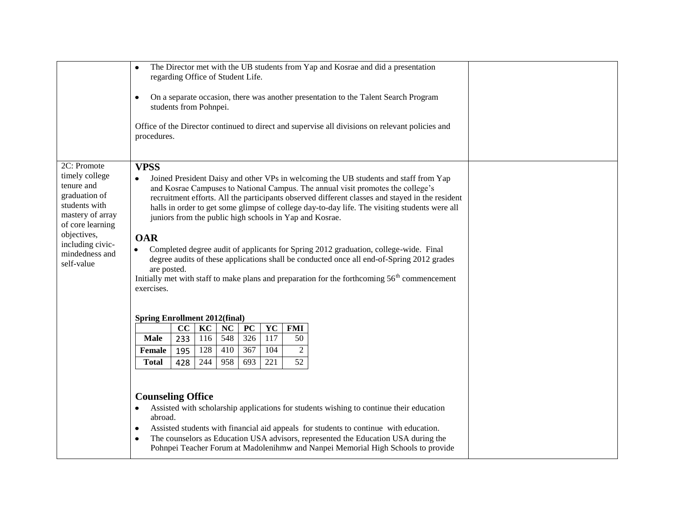|                                                                                                                                                                                          | The Director met with the UB students from Yap and Kosrae and did a presentation<br>$\bullet$<br>regarding Office of Student Life.<br>On a separate occasion, there was another presentation to the Talent Search Program<br>$\bullet$<br>students from Pohnpei.<br>Office of the Director continued to direct and supervise all divisions on relevant policies and<br>procedures.                                                                                                                                                                                                                                                                                                                                                                                                                                                                                                                                                                                                                                                                                                                                                                                                                                                                                                                                                                                                                                                                                                                                               |  |
|------------------------------------------------------------------------------------------------------------------------------------------------------------------------------------------|----------------------------------------------------------------------------------------------------------------------------------------------------------------------------------------------------------------------------------------------------------------------------------------------------------------------------------------------------------------------------------------------------------------------------------------------------------------------------------------------------------------------------------------------------------------------------------------------------------------------------------------------------------------------------------------------------------------------------------------------------------------------------------------------------------------------------------------------------------------------------------------------------------------------------------------------------------------------------------------------------------------------------------------------------------------------------------------------------------------------------------------------------------------------------------------------------------------------------------------------------------------------------------------------------------------------------------------------------------------------------------------------------------------------------------------------------------------------------------------------------------------------------------|--|
| 2C: Promote<br>timely college<br>tenure and<br>graduation of<br>students with<br>mastery of array<br>of core learning<br>objectives,<br>including civic-<br>mindedness and<br>self-value | <b>VPSS</b><br>Joined President Daisy and other VPs in welcoming the UB students and staff from Yap<br>$\bullet$<br>and Kosrae Campuses to National Campus. The annual visit promotes the college's<br>recruitment efforts. All the participants observed different classes and stayed in the resident<br>halls in order to get some glimpse of college day-to-day life. The visiting students were all<br>juniors from the public high schools in Yap and Kosrae.<br><b>OAR</b><br>Completed degree audit of applicants for Spring 2012 graduation, college-wide. Final<br>$\bullet$<br>degree audits of these applications shall be conducted once all end-of-Spring 2012 grades<br>are posted.<br>Initially met with staff to make plans and preparation for the forthcoming $56th$ commencement<br>exercises.<br><b>Spring Enrollment 2012(final)</b><br>KC<br>YC<br>cc<br>NC<br>PC<br><b>FMI</b><br>548<br>326<br>233<br>116<br>117<br><b>Male</b><br>50<br>128<br>$\overline{367}$<br>$\overline{2}$<br>410<br>104<br>195<br><b>Female</b><br>244<br>221<br>52<br><b>Total</b><br>428<br>958<br>693<br><b>Counseling Office</b><br>Assisted with scholarship applications for students wishing to continue their education<br>$\bullet$<br>abroad.<br>Assisted students with financial aid appeals for students to continue with education.<br>٠<br>The counselors as Education USA advisors, represented the Education USA during the<br>Pohnpei Teacher Forum at Madolenihmw and Nanpei Memorial High Schools to provide |  |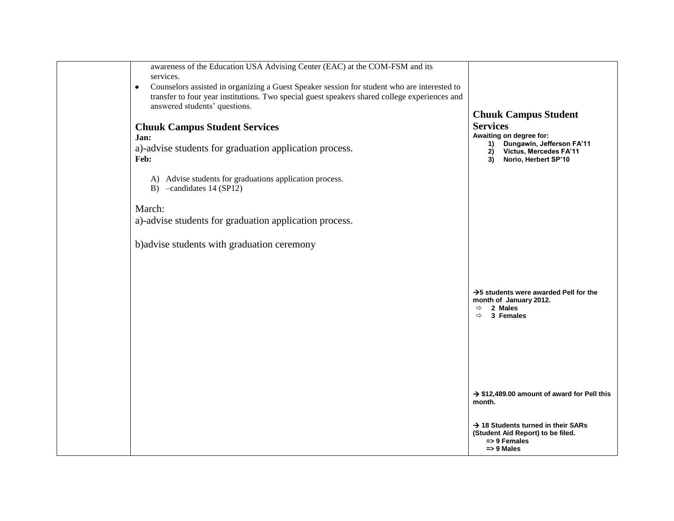| awareness of the Education USA Advising Center (EAC) at the COM-FSM and its<br>services.<br>Counselors assisted in organizing a Guest Speaker session for student who are interested to<br>$\bullet$<br>transfer to four year institutions. Two special guest speakers shared college experiences and<br>answered students' questions.<br><b>Chuuk Campus Student Services</b><br>Jan:<br>a)-advise students for graduation application process.<br>Feb:<br>A) Advise students for graduations application process.<br>B) -candidates 14 (SP12)<br>March:<br>a)-advise students for graduation application process.<br>b) advise students with graduation ceremony | <b>Chuuk Campus Student</b><br><b>Services</b><br>Awaiting on degree for:<br>Dungawin, Jefferson FA'11<br>1)<br>Victus, Mercedes FA'11<br>2)<br>Norio, Herbert SP'10<br>3) |  |
|--------------------------------------------------------------------------------------------------------------------------------------------------------------------------------------------------------------------------------------------------------------------------------------------------------------------------------------------------------------------------------------------------------------------------------------------------------------------------------------------------------------------------------------------------------------------------------------------------------------------------------------------------------------------|----------------------------------------------------------------------------------------------------------------------------------------------------------------------------|--|
|                                                                                                                                                                                                                                                                                                                                                                                                                                                                                                                                                                                                                                                                    | $\rightarrow$ 5 students were awarded Pell for the<br>month of January 2012.<br>2 Males<br>$\Rightarrow$<br>3 Females<br>$\Rightarrow$                                     |  |
|                                                                                                                                                                                                                                                                                                                                                                                                                                                                                                                                                                                                                                                                    | $\rightarrow$ \$12,489.00 amount of award for Pell this<br>month.<br>$\rightarrow$ 18 Students turned in their SARs<br>(Student Aid Report) to be filed.                   |  |
|                                                                                                                                                                                                                                                                                                                                                                                                                                                                                                                                                                                                                                                                    | $\Rightarrow$ 9 Females<br>$\Rightarrow$ 9 Males                                                                                                                           |  |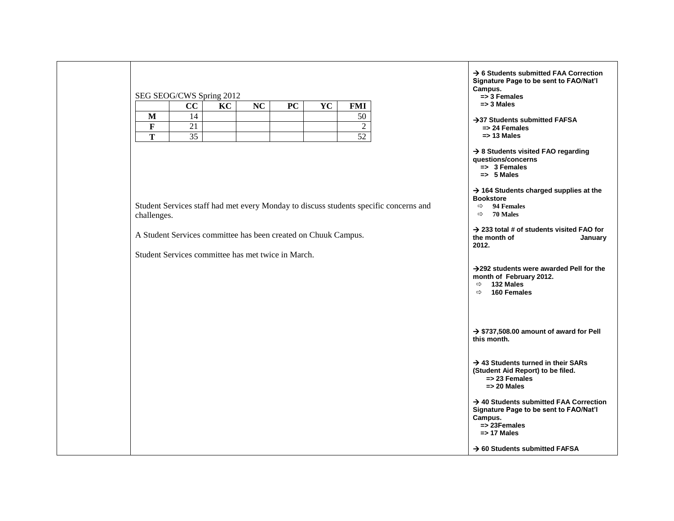## SEG SEOG/CWS Spring 2012

|          | $\Omega$<br>UU      | $\mathbf{r} \times \mathbf{r}$<br>ᅛ | $N\Gamma$<br>┄ | $\mathbf{P}\mathbf{C}$<br>◡ | $\mathbf{V}$<br>* ∪ | <b>FMI</b>   |
|----------|---------------------|-------------------------------------|----------------|-----------------------------|---------------------|--------------|
| M<br>∸'* | 4                   |                                     |                |                             |                     |              |
| -        |                     |                                     |                |                             |                     |              |
| m        | $\sim$ $\sim$<br>υJ |                                     |                |                             |                     | . <u>. .</u> |

Student Services staff had met every Monday to discuss students specific concerns and challenges.

A Student Services committee has been created on Chuuk Campus.

Student Services committee has met twice in March.

 **6 Students submitted FAA Correction Signature Page to be sent to FAO/Nat'l Campus. => 3 Females => 3 Males**  $→$ **37 Students submitted FAFSA => 24 Females => 13 Males 8 Students visited FAO regarding questions/concerns => 3 Females => 5 Males 164 Students charged supplies at the Bookstore 94 Females 70 Males 233 total # of students visited FAO for the month of January 2012. 292 students were awarded Pell for the month of February 2012. 132 Males 160 Females**  $\rightarrow$  **\$737,508.00 amount of award for Pell this month. 43 Students turned in their SARs (Student Aid Report) to be filed. => 23 Females => 20 Males 40 Students submitted FAA Correction Signature Page to be sent to FAO/Nat'l Campus. => 23Females => 17 Males**

 $→$  **60 Students submitted FAFSA**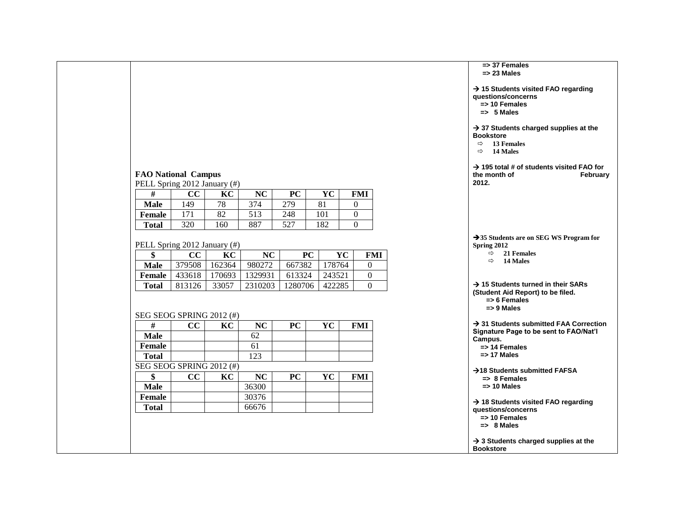|                              |        |        |                  |           |           |        |                  |  |                                                                                    | => 37 Females<br>$\Rightarrow$ 23 Males           |
|------------------------------|--------|--------|------------------|-----------|-----------|--------|------------------|--|------------------------------------------------------------------------------------|---------------------------------------------------|
|                              |        |        |                  |           |           |        |                  |  | $\rightarrow$ 15 Students vis<br>questions/concer                                  | $\Rightarrow$ 10 Females<br>$\Rightarrow$ 5 Males |
|                              |        |        |                  |           |           |        |                  |  | $\rightarrow$ 37 Students ch<br><b>Bookstore</b><br>$\Rightarrow$<br>$\Rightarrow$ | <b>13 Females</b><br>14 Males                     |
| <b>FAO National Campus</b>   |        |        |                  |           |           |        |                  |  | $\rightarrow$ 195 total # of st<br>the month of                                    |                                                   |
| PELL Spring 2012 January (#) |        |        |                  |           |           |        |                  |  | 2012.                                                                              |                                                   |
| #                            | CC     | KC     | NC               | PC        | YC        |        | FMI              |  |                                                                                    |                                                   |
| <b>Male</b>                  | 149    | 78     | 374              | 279       | 81        |        | 0                |  |                                                                                    |                                                   |
| <b>Female</b>                | 171    | 82     | $\overline{513}$ | 248       | 101       |        | 0                |  |                                                                                    |                                                   |
| <b>Total</b>                 | 320    | 160    | 887              | 527       | 182       |        | $\theta$         |  |                                                                                    |                                                   |
| PELL Spring 2012 January (#) |        |        |                  |           |           |        |                  |  | $\rightarrow$ 35 Students are o<br><b>Spring 2012</b>                              |                                                   |
| \$                           | cc     | KC     | NC               |           | <b>PC</b> | YC     | <b>FMI</b>       |  |                                                                                    | $\Rightarrow$<br>$\Rightarrow$                    |
| <b>Male</b>                  | 379508 | 162364 | 980272           | 667382    |           | 178764 | $\mathbf{0}$     |  |                                                                                    |                                                   |
| <b>Female</b>                | 433618 | 170693 | 1329931          | 613324    |           | 243521 | $\boldsymbol{0}$ |  |                                                                                    |                                                   |
| <b>Total</b>                 | 813126 | 33057  | 2310203          | 1280706   |           | 422285 | $\overline{0}$   |  | $\rightarrow$ 15 Students tur<br>(Student Aid Repo                                 |                                                   |
| SEG SEOG SPRING 2012 (#)     |        |        |                  |           |           |        |                  |  |                                                                                    | $\Rightarrow$ 6 Females<br>$\Rightarrow$ 9 Males  |
| $\#$                         | CC     | KC     | NC               | PC        | YC        |        | <b>FMI</b>       |  | $\rightarrow$ 31 Students sul                                                      |                                                   |
| <b>Male</b>                  |        |        | 62               |           |           |        |                  |  | <b>Signature Page to</b>                                                           |                                                   |
| <b>Female</b>                |        |        | 61               |           |           |        |                  |  | Campus.                                                                            | $\Rightarrow$ 14 Females                          |
| <b>Total</b>                 |        |        | 123              |           |           |        |                  |  |                                                                                    | $\Rightarrow$ 17 Males                            |
| SEG SEOG SPRING 2012 (#)     |        |        |                  |           |           |        |                  |  |                                                                                    |                                                   |
| \$                           | CC     | KC     | <b>NC</b>        | <b>PC</b> | YC        |        | <b>FMI</b>       |  | $\rightarrow$ 18 Students sub                                                      | $\Rightarrow$ 8 Females                           |
| <b>Male</b>                  |        |        | 36300            |           |           |        |                  |  |                                                                                    | $\Rightarrow$ 10 Males                            |
| <b>Female</b>                |        |        | 30376            |           |           |        |                  |  |                                                                                    |                                                   |
| <b>Total</b>                 |        |        | 66676            |           |           |        |                  |  | $\rightarrow$ 18 Students vis<br>questions/concer                                  |                                                   |
|                              |        |        |                  |           |           |        |                  |  | $\rightarrow$ 3 Students cha                                                       | $\Rightarrow$ 10 Females<br>$\Rightarrow$ 8 Males |
|                              |        |        |                  |           |           |        |                  |  | <b>Bookstore</b>                                                                   |                                                   |

| $\rightarrow$ 15 Students visited FAO regarding<br>questions/concerns<br>=> 10 Females<br>$\Rightarrow$ 5 Males                                  |
|--------------------------------------------------------------------------------------------------------------------------------------------------|
| $\rightarrow$ 37 Students charged supplies at the<br><b>Bookstore</b><br>$\Rightarrow$ 13 Females<br>$\Rightarrow$ 14 Males                      |
| $\rightarrow$ 195 total # of students visited FAO for<br>the month of<br>February<br>2012.                                                       |
| $\rightarrow$ 35 Students are on SEG WS Program for<br>Spring 2012<br>$\Rightarrow$<br>21 Females                                                |
| 14 Males<br>$\Rightarrow$<br>$\rightarrow$ 15 Students turned in their SARs<br>(Student Aid Report) to be filed.                                 |
| $\Rightarrow$ 6 Females<br>$\Rightarrow$ 9 Males<br>$\rightarrow$ 31 Students submitted FAA Correction<br>Signature Page to be sent to FAO/Nat'l |
| Campus.<br>$\Rightarrow$ 14 Females<br>$\Rightarrow$ 17 Males<br>→18 Students submitted FAFSA                                                    |
| $\Rightarrow$ 8 Females<br>$\Rightarrow$ 10 Males<br>$\rightarrow$ 18 Students visited FAO regarding<br>questions/concerns                       |
| $\Rightarrow$ 10 Females<br>$\Rightarrow$ 8 Males<br>$\rightarrow$ 3 Students charged supplies at the                                            |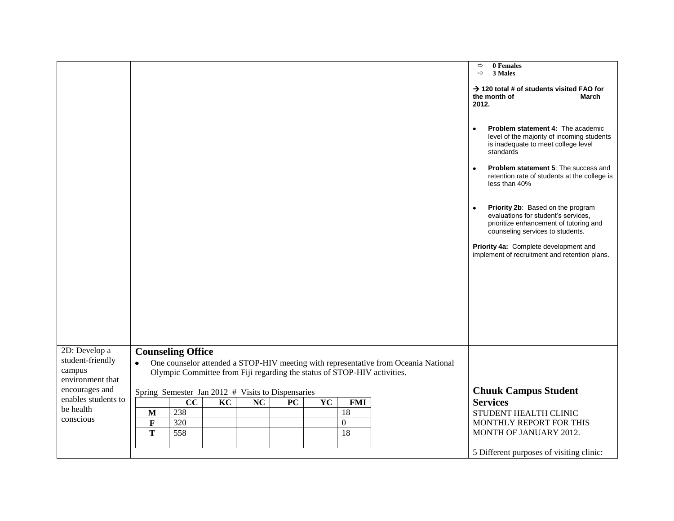|                                                                 |                                                                                                                                                                                                          | 0 Females<br>$\Rightarrow$<br>$\Rightarrow$<br>3 Males<br>$\rightarrow$ 120 total # of students visited FAO for<br>the month of<br>March<br>2012.                   |
|-----------------------------------------------------------------|----------------------------------------------------------------------------------------------------------------------------------------------------------------------------------------------------------|---------------------------------------------------------------------------------------------------------------------------------------------------------------------|
|                                                                 |                                                                                                                                                                                                          | Problem statement 4: The academic<br>$\bullet$<br>level of the majority of incoming students<br>is inadequate to meet college level<br>standards                    |
|                                                                 |                                                                                                                                                                                                          | <b>Problem statement 5: The success and</b><br>$\bullet$<br>retention rate of students at the college is<br>less than 40%                                           |
|                                                                 |                                                                                                                                                                                                          | Priority 2b: Based on the program<br>$\bullet$<br>evaluations for student's services,<br>prioritize enhancement of tutoring and<br>counseling services to students. |
|                                                                 |                                                                                                                                                                                                          | Priority 4a: Complete development and<br>implement of recruitment and retention plans.                                                                              |
|                                                                 |                                                                                                                                                                                                          |                                                                                                                                                                     |
|                                                                 |                                                                                                                                                                                                          |                                                                                                                                                                     |
| 2D: Develop a<br>student-friendly<br>campus<br>environment that | <b>Counseling Office</b><br>One counselor attended a STOP-HIV meeting with representative from Oceania National<br>$\bullet$<br>Olympic Committee from Fiji regarding the status of STOP-HIV activities. |                                                                                                                                                                     |
| encourages and                                                  | Spring Semester Jan 2012 # Visits to Dispensaries                                                                                                                                                        | <b>Chuuk Campus Student</b>                                                                                                                                         |
| enables students to                                             | cc<br>KC<br>NC<br><b>PC</b><br>YC<br><b>FMI</b>                                                                                                                                                          | <b>Services</b>                                                                                                                                                     |
| be health                                                       | 238<br>18<br>M                                                                                                                                                                                           | STUDENT HEALTH CLINIC                                                                                                                                               |
| conscious                                                       | $\mathbf F$<br>320<br>$\boldsymbol{0}$                                                                                                                                                                   | MONTHLY REPORT FOR THIS                                                                                                                                             |
|                                                                 | 558<br>T<br>18                                                                                                                                                                                           | MONTH OF JANUARY 2012.                                                                                                                                              |
|                                                                 |                                                                                                                                                                                                          | 5 Different purposes of visiting clinic:                                                                                                                            |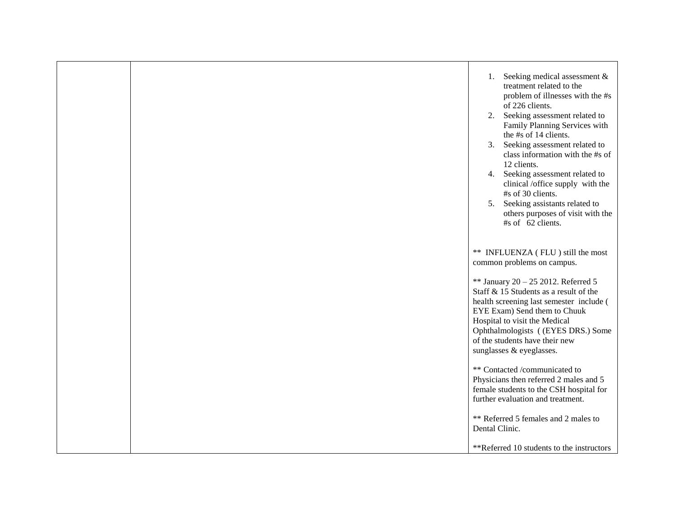|  | Seeking medical assessment &<br>1.<br>treatment related to the<br>problem of illnesses with the #s<br>of 226 clients.<br>Seeking assessment related to<br>2.<br>Family Planning Services with<br>the #s of 14 clients.<br>Seeking assessment related to<br>3.<br>class information with the #s of<br>12 clients.<br>Seeking assessment related to<br>4.<br>clinical /office supply with the<br>#s of 30 clients.<br>5. Seeking assistants related to<br>others purposes of visit with the<br>#s of 62 clients. |
|--|----------------------------------------------------------------------------------------------------------------------------------------------------------------------------------------------------------------------------------------------------------------------------------------------------------------------------------------------------------------------------------------------------------------------------------------------------------------------------------------------------------------|
|  | ** INFLUENZA (FLU) still the most<br>common problems on campus.                                                                                                                                                                                                                                                                                                                                                                                                                                                |
|  | ** January 20 - 25 2012. Referred 5<br>Staff & 15 Students as a result of the<br>health screening last semester include (<br>EYE Exam) Send them to Chuuk<br>Hospital to visit the Medical<br>Ophthalmologists ((EYES DRS.) Some<br>of the students have their new<br>sunglasses & eyeglasses.                                                                                                                                                                                                                 |
|  | ** Contacted /communicated to<br>Physicians then referred 2 males and 5<br>female students to the CSH hospital for<br>further evaluation and treatment.                                                                                                                                                                                                                                                                                                                                                        |
|  | ** Referred 5 females and 2 males to<br>Dental Clinic.                                                                                                                                                                                                                                                                                                                                                                                                                                                         |
|  | **Referred 10 students to the instructors                                                                                                                                                                                                                                                                                                                                                                                                                                                                      |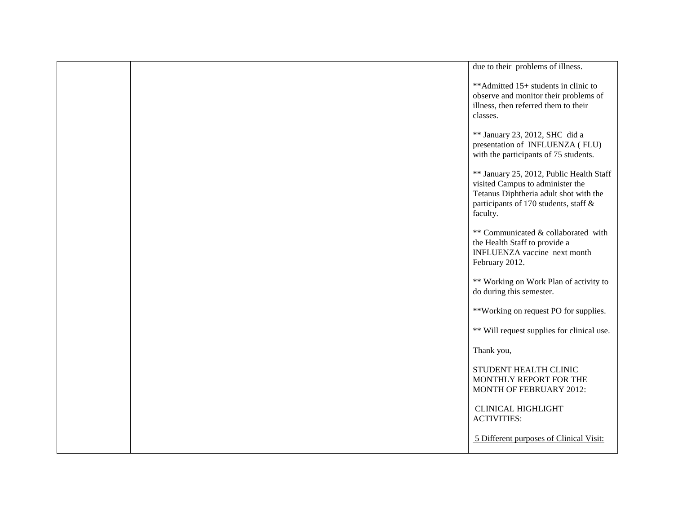|  | due to their problems of illness.                                                                                                                                           |
|--|-----------------------------------------------------------------------------------------------------------------------------------------------------------------------------|
|  | ** Admitted 15+ students in clinic to<br>observe and monitor their problems of<br>illness, then referred them to their<br>classes.                                          |
|  | ** January 23, 2012, SHC did a<br>presentation of INFLUENZA (FLU)<br>with the participants of 75 students.                                                                  |
|  | ** January 25, 2012, Public Health Staff<br>visited Campus to administer the<br>Tetanus Diphtheria adult shot with the<br>participants of 170 students, staff &<br>faculty. |
|  | ** Communicated & collaborated with<br>the Health Staff to provide a<br>INFLUENZA vaccine next month<br>February 2012.                                                      |
|  | ** Working on Work Plan of activity to<br>do during this semester.                                                                                                          |
|  | **Working on request PO for supplies.                                                                                                                                       |
|  | ** Will request supplies for clinical use.                                                                                                                                  |
|  | Thank you,                                                                                                                                                                  |
|  | STUDENT HEALTH CLINIC<br>MONTHLY REPORT FOR THE<br>MONTH OF FEBRUARY 2012:                                                                                                  |
|  | <b>CLINICAL HIGHLIGHT</b><br><b>ACTIVITIES:</b>                                                                                                                             |
|  | 5 Different purposes of Clinical Visit:                                                                                                                                     |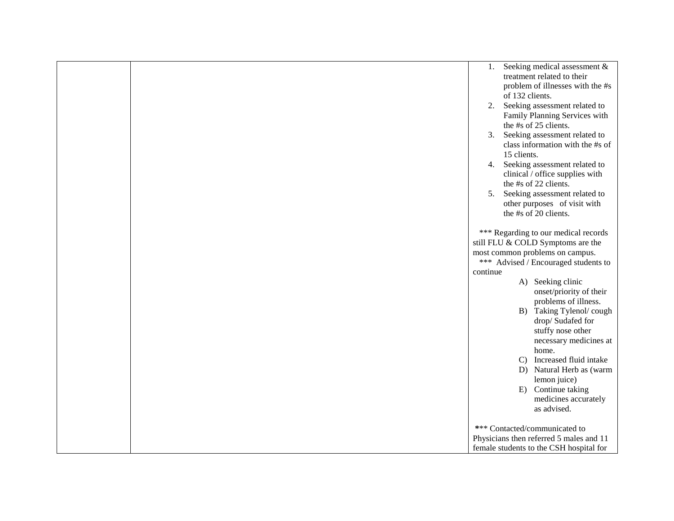|  |          |                 | 1. Seeking medical assessment $&$       |
|--|----------|-----------------|-----------------------------------------|
|  |          |                 | treatment related to their              |
|  |          |                 | problem of illnesses with the #s        |
|  |          | of 132 clients. |                                         |
|  |          |                 | 2. Seeking assessment related to        |
|  |          |                 | Family Planning Services with           |
|  |          |                 | the #s of 25 clients.                   |
|  |          |                 | 3. Seeking assessment related to        |
|  |          |                 | class information with the #s of        |
|  |          | 15 clients.     |                                         |
|  |          |                 | 4. Seeking assessment related to        |
|  |          |                 | clinical / office supplies with         |
|  |          |                 | the #s of 22 clients.                   |
|  |          |                 | 5. Seeking assessment related to        |
|  |          |                 | other purposes of visit with            |
|  |          |                 | the #s of 20 clients.                   |
|  |          |                 |                                         |
|  |          |                 | *** Regarding to our medical records    |
|  |          |                 | still FLU & COLD Symptoms are the       |
|  |          |                 | most common problems on campus.         |
|  |          |                 | *** Advised / Encouraged students to    |
|  | continue |                 |                                         |
|  |          |                 | A) Seeking clinic                       |
|  |          |                 | onset/priority of their                 |
|  |          |                 | problems of illness.                    |
|  |          |                 | B) Taking Tylenol/cough                 |
|  |          |                 | drop/Sudafed for                        |
|  |          |                 | stuffy nose other                       |
|  |          |                 | necessary medicines at                  |
|  |          |                 | home.                                   |
|  |          |                 | C) Increased fluid intake               |
|  |          |                 | D) Natural Herb as (warm                |
|  |          |                 | lemon juice)                            |
|  |          |                 | E) Continue taking                      |
|  |          |                 | medicines accurately                    |
|  |          |                 | as advised.                             |
|  |          |                 | *** Contacted/communicated to           |
|  |          |                 | Physicians then referred 5 males and 11 |
|  |          |                 | female students to the CSH hospital for |
|  |          |                 |                                         |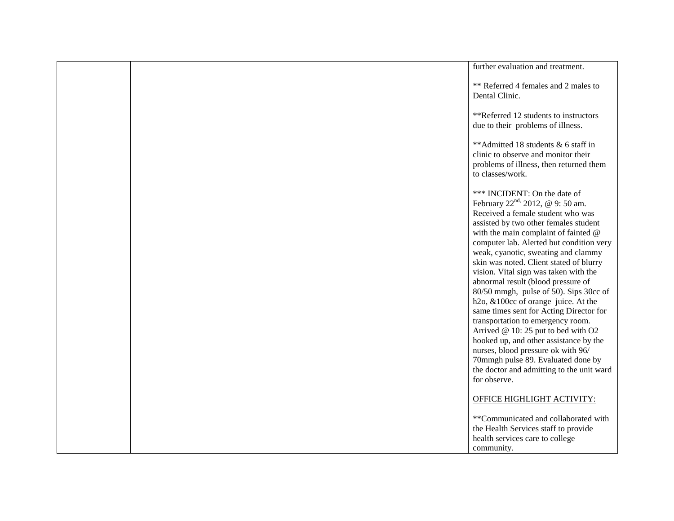|  | further evaluation and treatment.                                                                                                                                                                                                                                                                                                                                                                                                                                                                                                                                                                                                                                              |
|--|--------------------------------------------------------------------------------------------------------------------------------------------------------------------------------------------------------------------------------------------------------------------------------------------------------------------------------------------------------------------------------------------------------------------------------------------------------------------------------------------------------------------------------------------------------------------------------------------------------------------------------------------------------------------------------|
|  | ** Referred 4 females and 2 males to<br>Dental Clinic.                                                                                                                                                                                                                                                                                                                                                                                                                                                                                                                                                                                                                         |
|  | **Referred 12 students to instructors<br>due to their problems of illness.                                                                                                                                                                                                                                                                                                                                                                                                                                                                                                                                                                                                     |
|  | **Admitted 18 students & 6 staff in<br>clinic to observe and monitor their<br>problems of illness, then returned them<br>to classes/work.                                                                                                                                                                                                                                                                                                                                                                                                                                                                                                                                      |
|  | *** INCIDENT: On the date of<br>February 22 <sup>nd,</sup> 2012, @ 9: 50 am.<br>Received a female student who was<br>assisted by two other females student<br>with the main complaint of fainted @<br>computer lab. Alerted but condition very<br>weak, cyanotic, sweating and clammy<br>skin was noted. Client stated of blurry<br>vision. Vital sign was taken with the<br>abnormal result (blood pressure of<br>80/50 mmgh, pulse of 50). Sips 30cc of<br>h <sub>2o</sub> , &100cc of orange juice. At the<br>same times sent for Acting Director for<br>transportation to emergency room.<br>Arrived @ 10: 25 put to bed with O2<br>hooked up, and other assistance by the |
|  | nurses, blood pressure ok with 96/<br>70mmgh pulse 89. Evaluated done by<br>the doctor and admitting to the unit ward<br>for observe.                                                                                                                                                                                                                                                                                                                                                                                                                                                                                                                                          |
|  | <b>OFFICE HIGHLIGHT ACTIVITY:</b>                                                                                                                                                                                                                                                                                                                                                                                                                                                                                                                                                                                                                                              |
|  | **Communicated and collaborated with<br>the Health Services staff to provide<br>health services care to college<br>community.                                                                                                                                                                                                                                                                                                                                                                                                                                                                                                                                                  |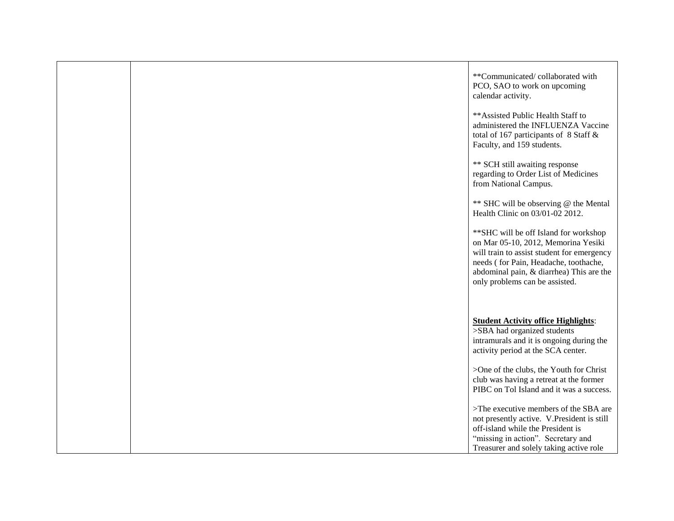|  | **Communicated/collaborated with<br>PCO, SAO to work on upcoming<br>calendar activity.<br>** Assisted Public Health Staff to<br>administered the INFLUENZA Vaccine<br>total of 167 participants of 8 Staff &<br>Faculty, and 159 students.<br>** SCH still awaiting response<br>regarding to Order List of Medicines<br>from National Campus.<br>** SHC will be observing @ the Mental<br>Health Clinic on 03/01-02 2012.<br>** SHC will be off Island for workshop<br>on Mar 05-10, 2012, Memorina Yesiki<br>will train to assist student for emergency<br>needs (for Pain, Headache, toothache,<br>abdominal pain, & diarrhea) This are the |
|--|-----------------------------------------------------------------------------------------------------------------------------------------------------------------------------------------------------------------------------------------------------------------------------------------------------------------------------------------------------------------------------------------------------------------------------------------------------------------------------------------------------------------------------------------------------------------------------------------------------------------------------------------------|
|  | only problems can be assisted.<br><b>Student Activity office Highlights:</b><br>>SBA had organized students<br>intramurals and it is ongoing during the<br>activity period at the SCA center.<br>>One of the clubs, the Youth for Christ<br>club was having a retreat at the former<br>PIBC on Tol Island and it was a success.<br>>The executive members of the SBA are<br>not presently active. V.President is still<br>off-island while the President is<br>"missing in action". Secretary and<br>Treasurer and solely taking active role                                                                                                  |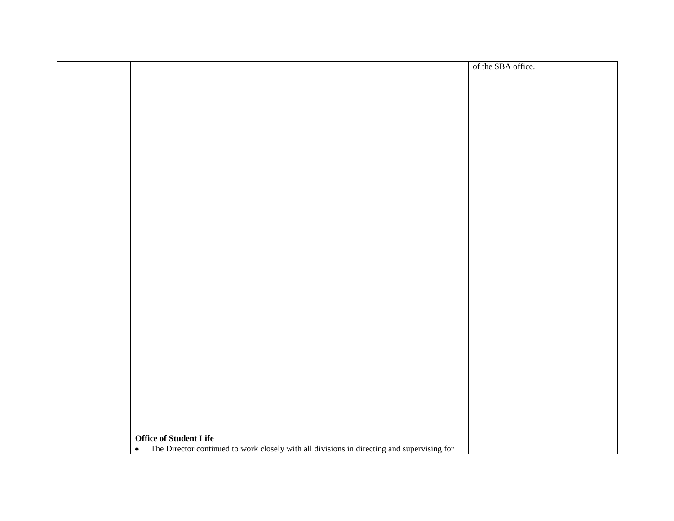|                                                                                                         | of the SBA office. |
|---------------------------------------------------------------------------------------------------------|--------------------|
|                                                                                                         |                    |
|                                                                                                         |                    |
|                                                                                                         |                    |
|                                                                                                         |                    |
|                                                                                                         |                    |
|                                                                                                         |                    |
|                                                                                                         |                    |
|                                                                                                         |                    |
|                                                                                                         |                    |
|                                                                                                         |                    |
|                                                                                                         |                    |
|                                                                                                         |                    |
|                                                                                                         |                    |
|                                                                                                         |                    |
|                                                                                                         |                    |
|                                                                                                         |                    |
|                                                                                                         |                    |
|                                                                                                         |                    |
|                                                                                                         |                    |
|                                                                                                         |                    |
|                                                                                                         |                    |
|                                                                                                         |                    |
|                                                                                                         |                    |
|                                                                                                         |                    |
|                                                                                                         |                    |
|                                                                                                         |                    |
|                                                                                                         |                    |
|                                                                                                         |                    |
|                                                                                                         |                    |
|                                                                                                         |                    |
|                                                                                                         |                    |
|                                                                                                         |                    |
|                                                                                                         |                    |
|                                                                                                         |                    |
|                                                                                                         |                    |
|                                                                                                         |                    |
|                                                                                                         |                    |
| <b>Office of Student Life</b>                                                                           |                    |
| The Director continued to work closely with all divisions in directing and supervising for<br>$\bullet$ |                    |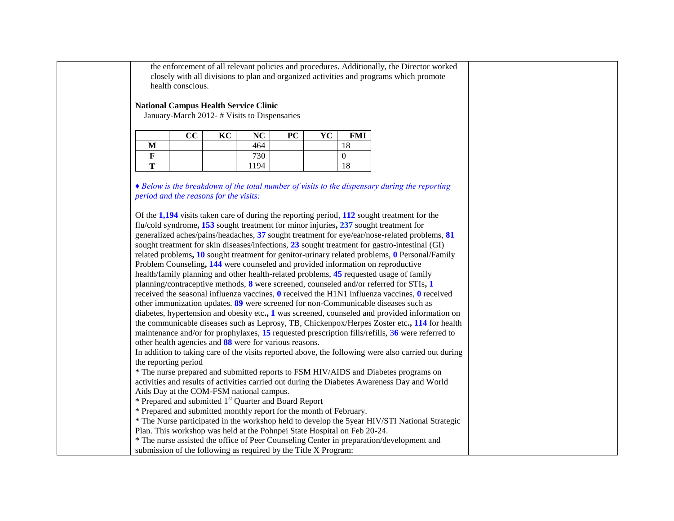the enforcement of all relevant policies and procedures. Additionally, the Director worked closely with all divisions to plan and organized activities and programs which promote health conscious.

### **National Campus Health Service Clinic**

January-March 2012- # Visits to Dispensaries

|   | $\bf CC$ | KC | NC   | PC | YC | FMI       |
|---|----------|----|------|----|----|-----------|
| M |          |    | 464  |    |    | 1 O<br>10 |
| ы |          |    | 730  |    |    |           |
| m |          |    | 1194 |    |    | 18        |

*♦ Below is the breakdown of the total number of visits to the dispensary during the reporting period and the reasons for the visits:* 

Of the **1,194** visits taken care of during the reporting period, **112** sought treatment for the flu/cold syndrome**, 153** sought treatment for minor injuries**, 237** sought treatment for generalized aches/pains/headaches, **37** sought treatment for eye/ear/nose-related problems, **81**  sought treatment for skin diseases/infections, **23** sought treatment for gastro-intestinal (GI) related problems**, 10** sought treatment for genitor-urinary related problems, **0** Personal/Family Problem Counseling**, 144** were counseled and provided information on reproductive health/family planning and other health-related problems, **45** requested usage of family planning/contraceptive methods, **8** were screened, counseled and/or referred for STIs**, 1**  received the seasonal influenza vaccines, **0** received the H1N1 influenza vaccines, **0** received other immunization updates. **89** were screened for non-Communicable diseases such as diabetes, hypertension and obesity etc**., 1** was screened, counseled and provided information on the communicable diseases such as Leprosy, TB, Chickenpox/Herpes Zoster etc**., 114** for health maintenance and/or for prophylaxes, **15** requested prescription fills/refills, 3**6** were referred to other health agencies and **88** were for various reasons. In addition to taking care of the visits reported above, the following were also carried out during the reporting period \* The nurse prepared and submitted reports to FSM HIV/AIDS and Diabetes programs on activities and results of activities carried out during the Diabetes Awareness Day and World Aids Day at the COM-FSM national campus. \* Prepared and submitted 1st Quarter and Board Report \* Prepared and submitted monthly report for the month of February.

\* The Nurse participated in the workshop held to develop the 5year HIV/STI National Strategic Plan. This workshop was held at the Pohnpei State Hospital on Feb 20-24.

\* The nurse assisted the office of Peer Counseling Center in preparation/development and submission of the following as required by the Title X Program: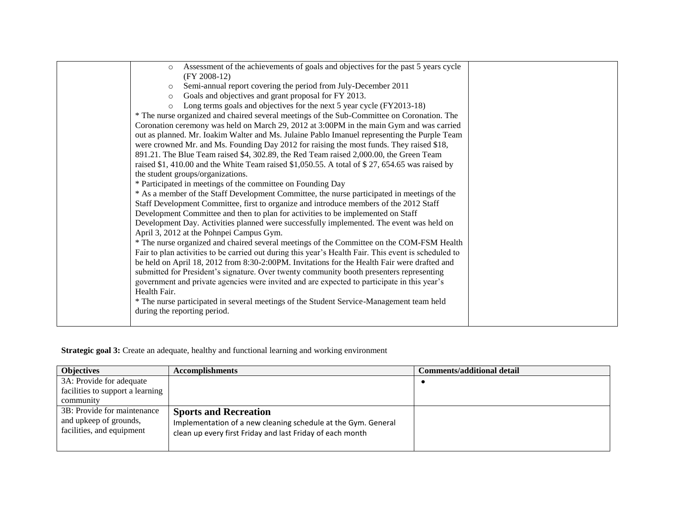| Assessment of the achievements of goals and objectives for the past 5 years cycle<br>$\circ$         |  |
|------------------------------------------------------------------------------------------------------|--|
| $(FY 2008-12)$                                                                                       |  |
| Semi-annual report covering the period from July-December 2011<br>$\circ$                            |  |
| Goals and objectives and grant proposal for FY 2013.<br>$\circ$                                      |  |
| Long terms goals and objectives for the next 5 year cycle (FY2013-18)<br>$\circ$                     |  |
| * The nurse organized and chaired several meetings of the Sub-Committee on Coronation. The           |  |
| Coronation ceremony was held on March 29, 2012 at 3:00PM in the main Gym and was carried             |  |
| out as planned. Mr. Ioakim Walter and Ms. Julaine Pablo Imanuel representing the Purple Team         |  |
| were crowned Mr. and Ms. Founding Day 2012 for raising the most funds. They raised \$18,             |  |
| 891.21. The Blue Team raised \$4, 302.89, the Red Team raised 2,000.00, the Green Team               |  |
| raised \$1, 410.00 and the White Team raised \$1,050.55. A total of \$27, 654.65 was raised by       |  |
| the student groups/organizations.                                                                    |  |
| * Participated in meetings of the committee on Founding Day                                          |  |
| * As a member of the Staff Development Committee, the nurse participated in meetings of the          |  |
| Staff Development Committee, first to organize and introduce members of the 2012 Staff               |  |
| Development Committee and then to plan for activities to be implemented on Staff                     |  |
| Development Day. Activities planned were successfully implemented. The event was held on             |  |
| April 3, 2012 at the Pohnpei Campus Gym.                                                             |  |
| * The nurse organized and chaired several meetings of the Committee on the COM-FSM Health            |  |
| Fair to plan activities to be carried out during this year's Health Fair. This event is scheduled to |  |
| be held on April 18, 2012 from 8:30-2:00PM. Invitations for the Health Fair were drafted and         |  |
| submitted for President's signature. Over twenty community booth presenters representing             |  |
| government and private agencies were invited and are expected to participate in this year's          |  |
| Health Fair.                                                                                         |  |
| * The nurse participated in several meetings of the Student Service-Management team held             |  |
| during the reporting period.                                                                         |  |
|                                                                                                      |  |
|                                                                                                      |  |

# **Strategic goal 3:** Create an adequate, healthy and functional learning and working environment

| <b>Objectives</b>                | <b>Accomplishments</b>                                        | <b>Comments/additional detail</b> |
|----------------------------------|---------------------------------------------------------------|-----------------------------------|
| 3A: Provide for adequate         |                                                               |                                   |
| facilities to support a learning |                                                               |                                   |
| community                        |                                                               |                                   |
| 3B: Provide for maintenance      | <b>Sports and Recreation</b>                                  |                                   |
| and upkeep of grounds,           | Implementation of a new cleaning schedule at the Gym. General |                                   |
| facilities, and equipment        | clean up every first Friday and last Friday of each month     |                                   |
|                                  |                                                               |                                   |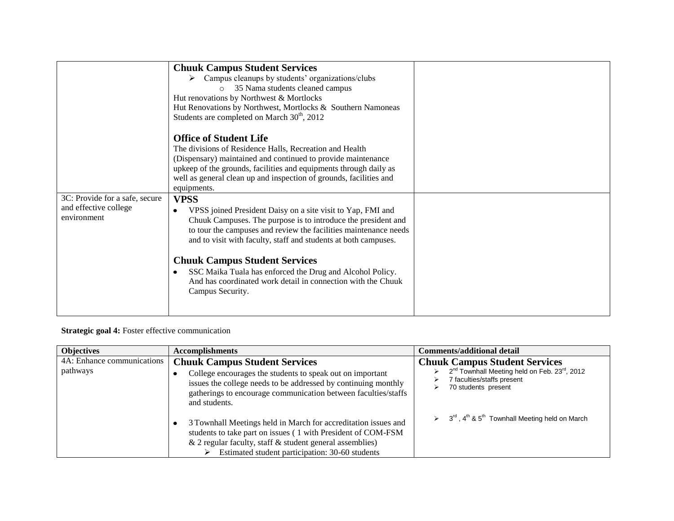|                                                                        | <b>Chuuk Campus Student Services</b><br>Campus cleanups by students' organizations/clubs<br>35 Nama students cleaned campus<br>$\circ$<br>Hut renovations by Northwest & Mortlocks<br>Hut Renovations by Northwest, Mortlocks & Southern Namoneas<br>Students are completed on March $30th$ , 2012                                                                                                                                                                          |  |
|------------------------------------------------------------------------|-----------------------------------------------------------------------------------------------------------------------------------------------------------------------------------------------------------------------------------------------------------------------------------------------------------------------------------------------------------------------------------------------------------------------------------------------------------------------------|--|
|                                                                        | <b>Office of Student Life</b><br>The divisions of Residence Halls, Recreation and Health<br>(Dispensary) maintained and continued to provide maintenance<br>upkeep of the grounds, facilities and equipments through daily as<br>well as general clean up and inspection of grounds, facilities and<br>equipments.                                                                                                                                                          |  |
| 3C: Provide for a safe, secure<br>and effective college<br>environment | <b>VPSS</b><br>VPSS joined President Daisy on a site visit to Yap, FMI and<br>Chuuk Campuses. The purpose is to introduce the president and<br>to tour the campuses and review the facilities maintenance needs<br>and to visit with faculty, staff and students at both campuses.<br><b>Chuuk Campus Student Services</b><br>SSC Maika Tuala has enforced the Drug and Alcohol Policy.<br>And has coordinated work detail in connection with the Chuuk<br>Campus Security. |  |

## **Strategic goal 4:** Foster effective communication

| <b>Objectives</b>                      | <b>Accomplishments</b>                                                                                                                                                                                                                                 | Comments/additional detail                                                                                                                                              |
|----------------------------------------|--------------------------------------------------------------------------------------------------------------------------------------------------------------------------------------------------------------------------------------------------------|-------------------------------------------------------------------------------------------------------------------------------------------------------------------------|
| 4A: Enhance communications<br>pathways | <b>Chuuk Campus Student Services</b><br>College encourages the students to speak out on important<br>issues the college needs to be addressed by continuing monthly<br>gatherings to encourage communication between faculties/staffs<br>and students. | <b>Chuuk Campus Student Services</b><br>2 <sup>nd</sup> Townhall Meeting held on Feb. 23 <sup>rd</sup> , 2012<br>⋗<br>7 faculties/staffs present<br>70 students present |
|                                        | 3 Townhall Meetings held in March for accreditation issues and<br>students to take part on issues (1 with President of COM-FSM<br>& 2 regular faculty, staff $&$ student general assemblies)<br>Estimated student participation: 30-60 students        | $\geq$ 3 <sup>rd</sup> , 4 <sup>th</sup> & 5 <sup>th</sup> Townhall Meeting held on March                                                                               |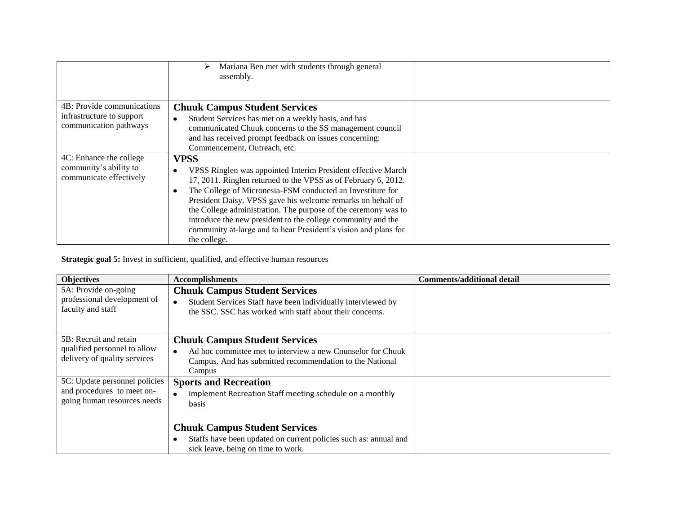|                                                                                   | Mariana Ben met with students through general<br>⋗<br>assembly.                                                                                                                                                                                                                                                                                                                                                                                                                                 |  |
|-----------------------------------------------------------------------------------|-------------------------------------------------------------------------------------------------------------------------------------------------------------------------------------------------------------------------------------------------------------------------------------------------------------------------------------------------------------------------------------------------------------------------------------------------------------------------------------------------|--|
| 4B: Provide communications<br>infrastructure to support<br>communication pathways | <b>Chuuk Campus Student Services</b><br>Student Services has met on a weekly basis, and has<br>communicated Chuuk concerns to the SS management council<br>and has received prompt feedback on issues concerning:<br>Commencement, Outreach, etc.                                                                                                                                                                                                                                               |  |
| 4C: Enhance the college<br>community's ability to<br>communicate effectively      | <b>VPSS</b><br>VPSS Ringlen was appointed Interim President effective March<br>17, 2011. Ringlen returned to the VPSS as of February 6, 2012.<br>The College of Micronesia-FSM conducted an Investiture for<br>President Daisy. VPSS gave his welcome remarks on behalf of<br>the College administration. The purpose of the ceremony was to<br>introduce the new president to the college community and the<br>community at-large and to hear President's vision and plans for<br>the college. |  |

**Strategic goal 5:** Invest in sufficient, qualified, and effective human resources

| <b>Objectives</b>                                                                          | <b>Accomplishments</b>                                                                                                                                                                 | <b>Comments/additional detail</b> |
|--------------------------------------------------------------------------------------------|----------------------------------------------------------------------------------------------------------------------------------------------------------------------------------------|-----------------------------------|
| 5A: Provide on-going<br>professional development of<br>faculty and staff                   | <b>Chuuk Campus Student Services</b><br>Student Services Staff have been individually interviewed by<br>$\bullet$<br>the SSC. SSC has worked with staff about their concerns.          |                                   |
| 5B: Recruit and retain<br>qualified personnel to allow<br>delivery of quality services     | <b>Chuuk Campus Student Services</b><br>Ad hoc committee met to interview a new Counselor for Chuuk<br>$\bullet$<br>Campus. And has submitted recommendation to the National<br>Campus |                                   |
| 5C: Update personnel policies<br>and procedures to meet on-<br>going human resources needs | <b>Sports and Recreation</b><br>Implement Recreation Staff meeting schedule on a monthly<br>basis                                                                                      |                                   |
|                                                                                            | <b>Chuuk Campus Student Services</b><br>Staffs have been updated on current policies such as: annual and<br>sick leave, being on time to work.                                         |                                   |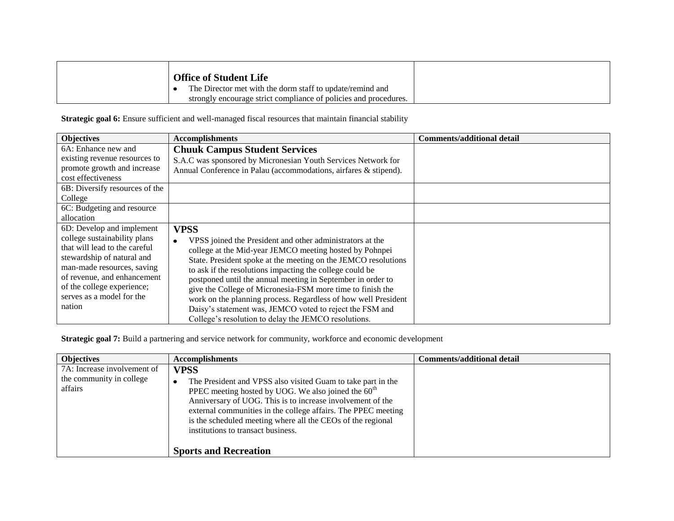| <b>Office of Student Life</b> |                                                                  |
|-------------------------------|------------------------------------------------------------------|
|                               | The Director met with the dorm staff to update/remind and        |
|                               | strongly encourage strict compliance of policies and procedures. |

Strategic goal 6: Ensure sufficient and well-managed fiscal resources that maintain financial stability

| <b>Objectives</b>              | <b>Accomplishments</b>                                           | <b>Comments/additional detail</b> |
|--------------------------------|------------------------------------------------------------------|-----------------------------------|
| 6A: Enhance new and            | <b>Chuuk Campus Student Services</b>                             |                                   |
| existing revenue resources to  | S.A.C was sponsored by Micronesian Youth Services Network for    |                                   |
| promote growth and increase    | Annual Conference in Palau (accommodations, airfares & stipend). |                                   |
| cost effectiveness             |                                                                  |                                   |
| 6B: Diversify resources of the |                                                                  |                                   |
| College                        |                                                                  |                                   |
| 6C: Budgeting and resource     |                                                                  |                                   |
| allocation                     |                                                                  |                                   |
| 6D: Develop and implement      | <b>VPSS</b>                                                      |                                   |
| college sustainability plans   | VPSS joined the President and other administrators at the        |                                   |
| that will lead to the careful  | college at the Mid-year JEMCO meeting hosted by Pohnpei          |                                   |
| stewardship of natural and     | State. President spoke at the meeting on the JEMCO resolutions   |                                   |
| man-made resources, saving     | to ask if the resolutions impacting the college could be         |                                   |
| of revenue, and enhancement    | postponed until the annual meeting in September in order to      |                                   |
| of the college experience;     | give the College of Micronesia-FSM more time to finish the       |                                   |
| serves as a model for the      | work on the planning process. Regardless of how well President   |                                   |
| nation                         | Daisy's statement was, JEMCO voted to reject the FSM and         |                                   |
|                                | College's resolution to delay the JEMCO resolutions.             |                                   |

**Strategic goal 7:** Build a partnering and service network for community, workforce and economic development

| <b>Objectives</b>                                                  | <b>Accomplishments</b>                                                                                                                                                                                                                                                                                                                                                                                   | <b>Comments/additional detail</b> |
|--------------------------------------------------------------------|----------------------------------------------------------------------------------------------------------------------------------------------------------------------------------------------------------------------------------------------------------------------------------------------------------------------------------------------------------------------------------------------------------|-----------------------------------|
| 7A: Increase involvement of<br>the community in college<br>affairs | <b>VPSS</b><br>The President and VPSS also visited Guam to take part in the<br>PPEC meeting hosted by UOG. We also joined the $60th$<br>Anniversary of UOG. This is to increase involvement of the<br>external communities in the college affairs. The PPEC meeting<br>is the scheduled meeting where all the CEOs of the regional<br>institutions to transact business.<br><b>Sports and Recreation</b> |                                   |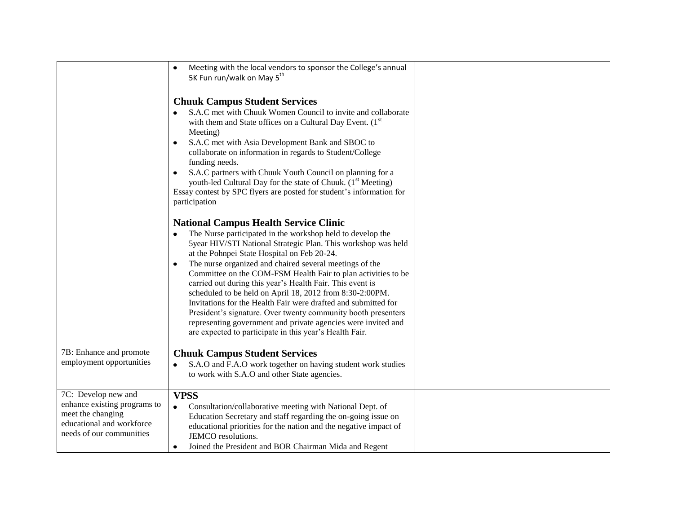|                                                                                                                                   | Meeting with the local vendors to sponsor the College's annual<br>$\bullet$<br>5K Fun run/walk on May 5 <sup>th</sup><br><b>Chuuk Campus Student Services</b><br>S.A.C met with Chuuk Women Council to invite and collaborate<br>with them and State offices on a Cultural Day Event. (1 <sup>st</sup><br>Meeting)<br>S.A.C met with Asia Development Bank and SBOC to<br>$\bullet$<br>collaborate on information in regards to Student/College<br>funding needs.<br>S.A.C partners with Chuuk Youth Council on planning for a<br>$\bullet$<br>youth-led Cultural Day for the state of Chuuk. (1 <sup>st</sup> Meeting)<br>Essay contest by SPC flyers are posted for student's information for<br>participation                                            |  |
|-----------------------------------------------------------------------------------------------------------------------------------|-------------------------------------------------------------------------------------------------------------------------------------------------------------------------------------------------------------------------------------------------------------------------------------------------------------------------------------------------------------------------------------------------------------------------------------------------------------------------------------------------------------------------------------------------------------------------------------------------------------------------------------------------------------------------------------------------------------------------------------------------------------|--|
|                                                                                                                                   | <b>National Campus Health Service Clinic</b><br>The Nurse participated in the workshop held to develop the<br>5year HIV/STI National Strategic Plan. This workshop was held<br>at the Pohnpei State Hospital on Feb 20-24.<br>The nurse organized and chaired several meetings of the<br>$\bullet$<br>Committee on the COM-FSM Health Fair to plan activities to be<br>carried out during this year's Health Fair. This event is<br>scheduled to be held on April 18, 2012 from 8:30-2:00PM.<br>Invitations for the Health Fair were drafted and submitted for<br>President's signature. Over twenty community booth presenters<br>representing government and private agencies were invited and<br>are expected to participate in this year's Health Fair. |  |
| 7B: Enhance and promote<br>employment opportunities                                                                               | <b>Chuuk Campus Student Services</b><br>S.A.O and F.A.O work together on having student work studies<br>to work with S.A.O and other State agencies.                                                                                                                                                                                                                                                                                                                                                                                                                                                                                                                                                                                                        |  |
| 7C: Develop new and<br>enhance existing programs to<br>meet the changing<br>educational and workforce<br>needs of our communities | <b>VPSS</b><br>Consultation/collaborative meeting with National Dept. of<br>Education Secretary and staff regarding the on-going issue on<br>educational priorities for the nation and the negative impact of<br>JEMCO resolutions.<br>Joined the President and BOR Chairman Mida and Regent<br>$\bullet$                                                                                                                                                                                                                                                                                                                                                                                                                                                   |  |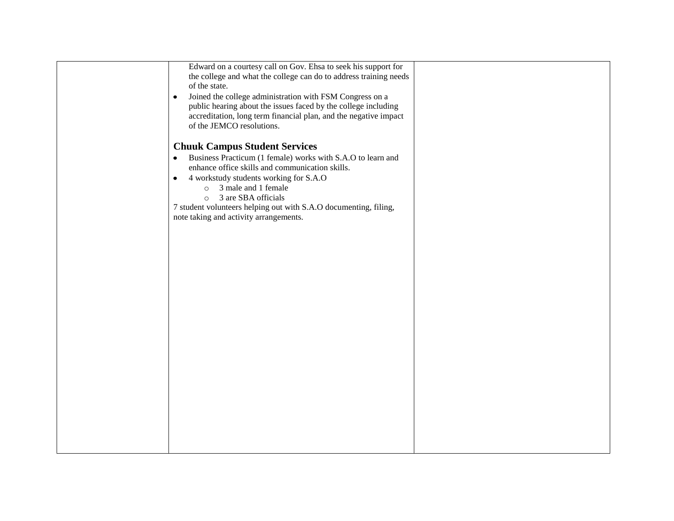| Edward on a courtesy call on Gov. Ehsa to seek his support for           |  |
|--------------------------------------------------------------------------|--|
| the college and what the college can do to address training needs        |  |
| of the state.                                                            |  |
| Joined the college administration with FSM Congress on a<br>$\bullet$    |  |
| public hearing about the issues faced by the college including           |  |
|                                                                          |  |
| accreditation, long term financial plan, and the negative impact         |  |
| of the JEMCO resolutions.                                                |  |
|                                                                          |  |
| <b>Chuuk Campus Student Services</b>                                     |  |
| Business Practicum (1 female) works with S.A.O to learn and<br>$\bullet$ |  |
| enhance office skills and communication skills.                          |  |
|                                                                          |  |
| 4 workstudy students working for S.A.O<br>$\bullet$                      |  |
| 3 male and 1 female<br>$\circ$                                           |  |
| 3 are SBA officials<br>$\circ$                                           |  |
| 7 student volunteers helping out with S.A.O documenting, filing,         |  |
| note taking and activity arrangements.                                   |  |
|                                                                          |  |
|                                                                          |  |
|                                                                          |  |
|                                                                          |  |
|                                                                          |  |
|                                                                          |  |
|                                                                          |  |
|                                                                          |  |
|                                                                          |  |
|                                                                          |  |
|                                                                          |  |
|                                                                          |  |
|                                                                          |  |
|                                                                          |  |
|                                                                          |  |
|                                                                          |  |
|                                                                          |  |
|                                                                          |  |
|                                                                          |  |
|                                                                          |  |
|                                                                          |  |
|                                                                          |  |
|                                                                          |  |
|                                                                          |  |
|                                                                          |  |
|                                                                          |  |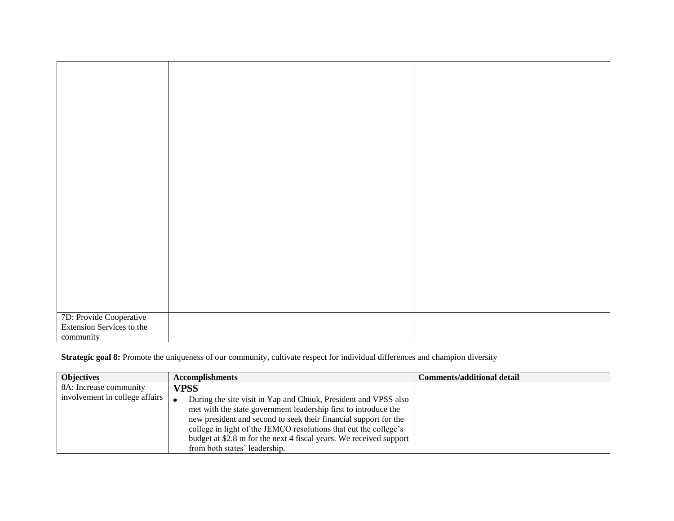| 7D: Provide Cooperative<br>Extension Services to the |  |
|------------------------------------------------------|--|
| community                                            |  |
|                                                      |  |

**Strategic goal 8:** Promote the uniqueness of our community, cultivate respect for individual differences and champion diversity

| <b>Objectives</b>              | <b>Accomplishments</b>                                             | <b>Comments/additional detail</b> |
|--------------------------------|--------------------------------------------------------------------|-----------------------------------|
| 8A: Increase community         | <b>VPSS</b>                                                        |                                   |
| involvement in college affairs | During the site visit in Yap and Chuuk, President and VPSS also    |                                   |
|                                | met with the state government leadership first to introduce the    |                                   |
|                                | new president and second to seek their financial support for the   |                                   |
|                                | college in light of the JEMCO resolutions that cut the college's   |                                   |
|                                | budget at \$2.8 m for the next 4 fiscal years. We received support |                                   |
|                                | from both states' leadership.                                      |                                   |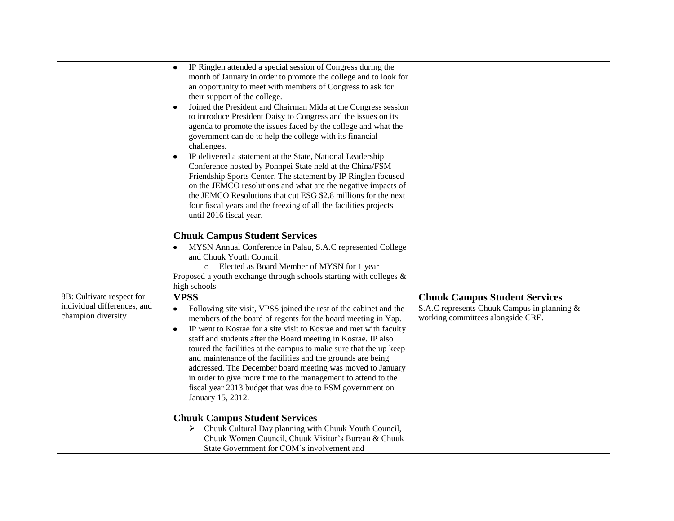|                                                                                | IP Ringlen attended a special session of Congress during the<br>month of January in order to promote the college and to look for<br>an opportunity to meet with members of Congress to ask for<br>their support of the college.<br>Joined the President and Chairman Mida at the Congress session<br>٠<br>to introduce President Daisy to Congress and the issues on its<br>agenda to promote the issues faced by the college and what the<br>government can do to help the college with its financial<br>challenges.<br>IP delivered a statement at the State, National Leadership<br>$\bullet$<br>Conference hosted by Pohnpei State held at the China/FSM<br>Friendship Sports Center. The statement by IP Ringlen focused<br>on the JEMCO resolutions and what are the negative impacts of<br>the JEMCO Resolutions that cut ESG \$2.8 millions for the next<br>four fiscal years and the freezing of all the facilities projects<br>until 2016 fiscal year.<br><b>Chuuk Campus Student Services</b><br>MYSN Annual Conference in Palau, S.A.C represented College<br>and Chuuk Youth Council.<br>Elected as Board Member of MYSN for 1 year<br>$\circ$<br>Proposed a youth exchange through schools starting with colleges $\&$ |                                                                                                                          |
|--------------------------------------------------------------------------------|--------------------------------------------------------------------------------------------------------------------------------------------------------------------------------------------------------------------------------------------------------------------------------------------------------------------------------------------------------------------------------------------------------------------------------------------------------------------------------------------------------------------------------------------------------------------------------------------------------------------------------------------------------------------------------------------------------------------------------------------------------------------------------------------------------------------------------------------------------------------------------------------------------------------------------------------------------------------------------------------------------------------------------------------------------------------------------------------------------------------------------------------------------------------------------------------------------------------------------------|--------------------------------------------------------------------------------------------------------------------------|
|                                                                                | high schools                                                                                                                                                                                                                                                                                                                                                                                                                                                                                                                                                                                                                                                                                                                                                                                                                                                                                                                                                                                                                                                                                                                                                                                                                         |                                                                                                                          |
| 8B: Cultivate respect for<br>individual differences, and<br>champion diversity | <b>VPSS</b><br>Following site visit, VPSS joined the rest of the cabinet and the<br>$\bullet$<br>members of the board of regents for the board meeting in Yap.<br>IP went to Kosrae for a site visit to Kosrae and met with faculty<br>$\bullet$<br>staff and students after the Board meeting in Kosrae. IP also<br>toured the facilities at the campus to make sure that the up keep<br>and maintenance of the facilities and the grounds are being<br>addressed. The December board meeting was moved to January<br>in order to give more time to the management to attend to the<br>fiscal year 2013 budget that was due to FSM government on<br>January 15, 2012.<br><b>Chuuk Campus Student Services</b><br>Chuuk Cultural Day planning with Chuuk Youth Council,<br>➤<br>Chuuk Women Council, Chuuk Visitor's Bureau & Chuuk<br>State Government for COM's involvement and                                                                                                                                                                                                                                                                                                                                                    | <b>Chuuk Campus Student Services</b><br>S.A.C represents Chuuk Campus in planning &<br>working committees alongside CRE. |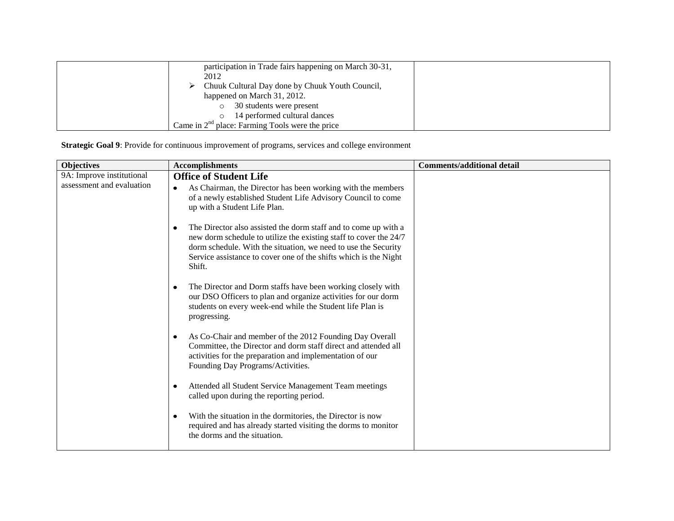| participation in Trade fairs happening on March 30-31, |  |
|--------------------------------------------------------|--|
| 2012                                                   |  |
| Chuuk Cultural Day done by Chuuk Youth Council,        |  |
| happened on March 31, 2012.                            |  |
| 30 students were present                               |  |
| 14 performed cultural dances                           |  |
| Came in $2nd$ place: Farming Tools were the price      |  |

**Strategic Goal 9**: Provide for continuous improvement of programs, services and college environment

| <b>Objectives</b>         | <b>Accomplishments</b>                                                                                                                                                                                                                                                                    | <b>Comments/additional detail</b> |
|---------------------------|-------------------------------------------------------------------------------------------------------------------------------------------------------------------------------------------------------------------------------------------------------------------------------------------|-----------------------------------|
| 9A: Improve institutional | <b>Office of Student Life</b>                                                                                                                                                                                                                                                             |                                   |
| assessment and evaluation | As Chairman, the Director has been working with the members<br>$\bullet$<br>of a newly established Student Life Advisory Council to come<br>up with a Student Life Plan.                                                                                                                  |                                   |
|                           | The Director also assisted the dorm staff and to come up with a<br>٠<br>new dorm schedule to utilize the existing staff to cover the 24/7<br>dorm schedule. With the situation, we need to use the Security<br>Service assistance to cover one of the shifts which is the Night<br>Shift. |                                   |
|                           | The Director and Dorm staffs have been working closely with<br>٠<br>our DSO Officers to plan and organize activities for our dorm<br>students on every week-end while the Student life Plan is<br>progressing.                                                                            |                                   |
|                           | As Co-Chair and member of the 2012 Founding Day Overall<br>٠<br>Committee, the Director and dorm staff direct and attended all<br>activities for the preparation and implementation of our<br>Founding Day Programs/Activities.                                                           |                                   |
|                           | Attended all Student Service Management Team meetings<br>$\bullet$<br>called upon during the reporting period.                                                                                                                                                                            |                                   |
|                           | With the situation in the dormitories, the Director is now<br>٠<br>required and has already started visiting the dorms to monitor<br>the dorms and the situation.                                                                                                                         |                                   |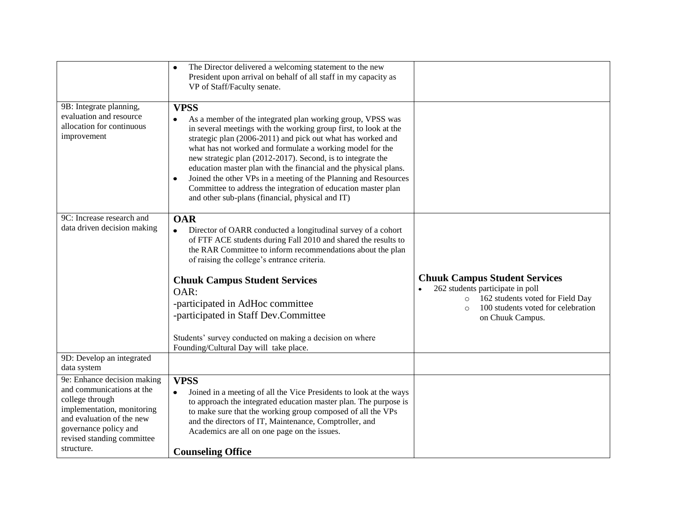|                                                                                                                                                                                                             | The Director delivered a welcoming statement to the new<br>$\bullet$<br>President upon arrival on behalf of all staff in my capacity as<br>VP of Staff/Faculty senate.                                                                                                                                                                                                                                                                                                                                                                                                                                                         |                                                                                                                   |
|-------------------------------------------------------------------------------------------------------------------------------------------------------------------------------------------------------------|--------------------------------------------------------------------------------------------------------------------------------------------------------------------------------------------------------------------------------------------------------------------------------------------------------------------------------------------------------------------------------------------------------------------------------------------------------------------------------------------------------------------------------------------------------------------------------------------------------------------------------|-------------------------------------------------------------------------------------------------------------------|
| 9B: Integrate planning,<br>evaluation and resource<br>allocation for continuous<br>improvement                                                                                                              | <b>VPSS</b><br>As a member of the integrated plan working group, VPSS was<br>$\bullet$<br>in several meetings with the working group first, to look at the<br>strategic plan (2006-2011) and pick out what has worked and<br>what has not worked and formulate a working model for the<br>new strategic plan (2012-2017). Second, is to integrate the<br>education master plan with the financial and the physical plans.<br>Joined the other VPs in a meeting of the Planning and Resources<br>$\bullet$<br>Committee to address the integration of education master plan<br>and other sub-plans (financial, physical and IT) |                                                                                                                   |
| 9C: Increase research and<br>data driven decision making                                                                                                                                                    | <b>OAR</b><br>Director of OARR conducted a longitudinal survey of a cohort<br>$\bullet$<br>of FTF ACE students during Fall 2010 and shared the results to<br>the RAR Committee to inform recommendations about the plan<br>of raising the college's entrance criteria.<br><b>Chuuk Campus Student Services</b>                                                                                                                                                                                                                                                                                                                 | <b>Chuuk Campus Student Services</b><br>262 students participate in poll                                          |
|                                                                                                                                                                                                             | OAR:<br>-participated in AdHoc committee<br>-participated in Staff Dev.Committee                                                                                                                                                                                                                                                                                                                                                                                                                                                                                                                                               | 162 students voted for Field Day<br>$\circ$<br>100 students voted for celebration<br>$\Omega$<br>on Chuuk Campus. |
|                                                                                                                                                                                                             | Students' survey conducted on making a decision on where<br>Founding/Cultural Day will take place.                                                                                                                                                                                                                                                                                                                                                                                                                                                                                                                             |                                                                                                                   |
| 9D: Develop an integrated<br>data system                                                                                                                                                                    |                                                                                                                                                                                                                                                                                                                                                                                                                                                                                                                                                                                                                                |                                                                                                                   |
| 9e: Enhance decision making<br>and communications at the<br>college through<br>implementation, monitoring<br>and evaluation of the new<br>governance policy and<br>revised standing committee<br>structure. | <b>VPSS</b><br>Joined in a meeting of all the Vice Presidents to look at the ways<br>$\bullet$<br>to approach the integrated education master plan. The purpose is<br>to make sure that the working group composed of all the VPs<br>and the directors of IT, Maintenance, Comptroller, and<br>Academics are all on one page on the issues.<br><b>Counseling Office</b>                                                                                                                                                                                                                                                        |                                                                                                                   |